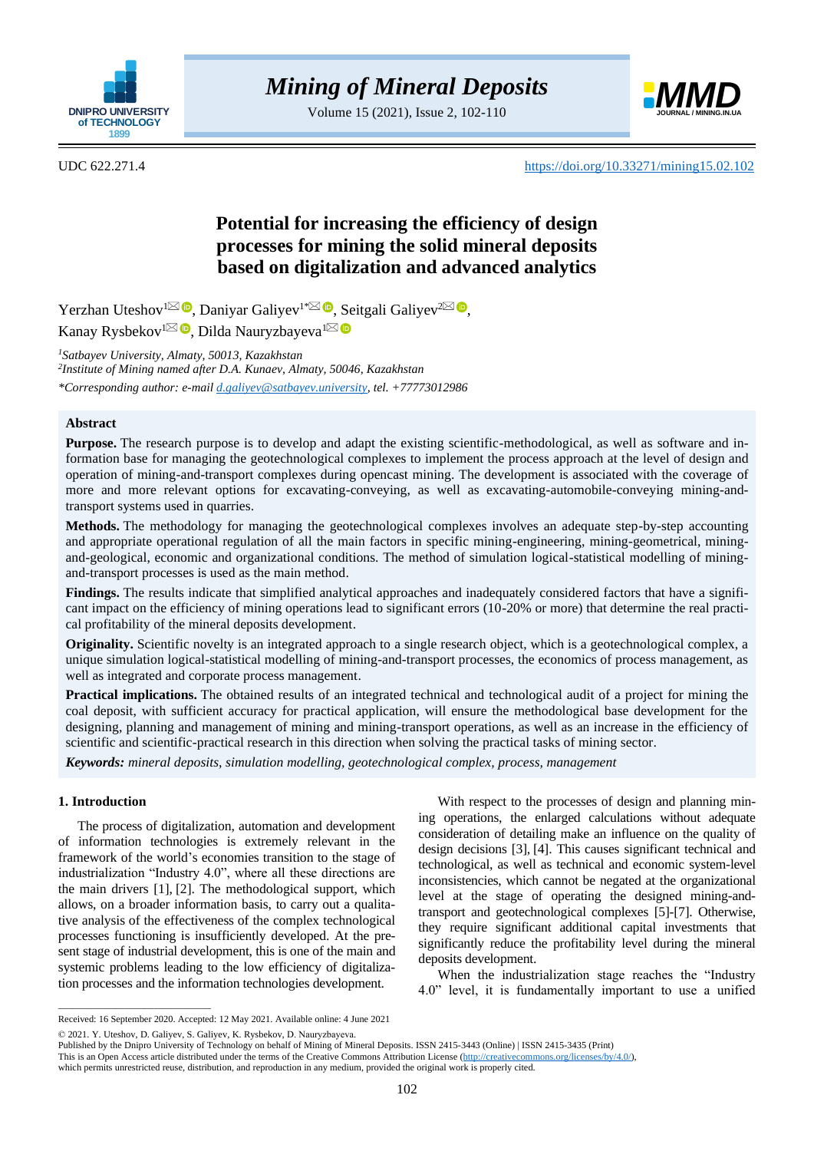

Volume 15 (2021), Issue 2, 102-110



UDC 622.271.4 <https://doi.org/10.33271/mining15.02.102>

# **Potential for increasing the efficiency of design processes for mining the solid mineral deposits based on digitalization and advanced analytics**

Yerzhan Uteshov<sup>[1](mailto:Y.uteshov@stud.satbayev.university)⊠</sup> <sup>®</sup>[,](https://orcid.org/0000-0002-6918-419X) Daniyar Galiyev<sup>1[\\*](mailto:D.Galiyev@satbayev.university)⊠ ®</sup>, Seitgali Galiyev<sup>[2](mailto:seitgaligaliyev@mail.ru)⊠ ®</sup>, Kanay Rysbekov<sup>[1](mailto:D.Nаuryzbayeva@satbayev.university)⊠ (D</sup>[,](https://orcid.org/0000-0003-3959-550X) Dilda Nauryzbayeva<sup>1</sup>

*<sup>1</sup>Satbayev University, Almaty, 50013, Kazakhstan*

*2 Institute of Mining named after D.A. Kunaev, Almaty, 50046, Kazakhstan \*Corresponding author: e-mail [d.galiyev@satbayev.university,](mailto:d.galiyev@satbayev.university) tel. +77773012986*

# **Abstract**

**Purpose.** The research purpose is to develop and adapt the existing scientific-methodological, as well as software and information base for managing the geotechnological complexes to implement the process approach at the level of design and operation of mining-and-transport complexes during opencast mining. The development is associated with the coverage of more and more relevant options for excavating-conveying, as well as excavating-automobile-conveying mining-andtransport systems used in quarries.

**Methods.** The methodology for managing the geotechnological complexes involves an adequate step-by-step accounting and appropriate operational regulation of all the main factors in specific mining-engineering, mining-geometrical, miningand-geological, economic and organizational conditions. The method of simulation logical-statistical modelling of miningand-transport processes is used as the main method.

**Findings.** The results indicate that simplified analytical approaches and inadequately considered factors that have a significant impact on the efficiency of mining operations lead to significant errors (10-20% or more) that determine the real practical profitability of the mineral deposits development.

**Originality.** Scientific novelty is an integrated approach to a single research object, which is a geotechnological complex, a unique simulation logical-statistical modelling of mining-and-transport processes, the economics of process management, as well as integrated and corporate process management.

**Practical implications.** The obtained results of an integrated technical and technological audit of a project for mining the coal deposit, with sufficient accuracy for practical application, will ensure the methodological base development for the designing, planning and management of mining and mining-transport operations, as well as an increase in the efficiency of scientific and scientific-practical research in this direction when solving the practical tasks of mining sector.

*Keywords: mineral deposits, simulation modelling, geotechnological complex, process, management*

# **1. Introduction**

 $\overline{\phantom{a}}$  ,  $\overline{\phantom{a}}$  ,  $\overline{\phantom{a}}$  ,  $\overline{\phantom{a}}$  ,  $\overline{\phantom{a}}$  ,  $\overline{\phantom{a}}$  ,  $\overline{\phantom{a}}$  ,  $\overline{\phantom{a}}$  ,  $\overline{\phantom{a}}$  ,  $\overline{\phantom{a}}$  ,  $\overline{\phantom{a}}$  ,  $\overline{\phantom{a}}$  ,  $\overline{\phantom{a}}$  ,  $\overline{\phantom{a}}$  ,  $\overline{\phantom{a}}$  ,  $\overline{\phantom{a}}$ 

The process of digitalization, automation and development of information technologies is extremely relevant in the framework of the world's economies transition to the stage of industrialization "Industry 4.0", where all these directions are the main drivers [\[1\],](#page-6-0) [\[2\].](#page-6-1) The methodological support, which allows, on a broader information basis, to carry out a qualitative analysis of the effectiveness of the complex technological processes functioning is insufficiently developed. At the present stage of industrial development, this is one of the main and systemic problems leading to the low efficiency of digitalization processes and the information technologies development.

With respect to the processes of design and planning mining operations, the enlarged calculations without adequate consideration of detailing make an influence on the quality of design decisions [\[3\],](#page-6-2) [\[4\].](#page-6-3) This causes significant technical and technological, as well as technical and economic system-level inconsistencies, which cannot be negated at the organizational level at the stage of operating the designed mining-andtransport and geotechnological complexes [\[5\]-](#page-6-4)[\[7\].](#page-6-5) Otherwise, they require significant additional capital investments that significantly reduce the profitability level during the mineral deposits development.

When the industrialization stage reaches the "Industry 4.0" level, it is fundamentally important to use a unified

Received: 16 September 2020. Accepted: 12 May 2021. Available online: 4 June 2021

<sup>© 2021.</sup> Y. Uteshov, D. Galiyev, S. Galiyev, K. Rysbekov, D. Nаuryzbayeva.

Published by the Dnipro University of Technology on behalf of Mining of Mineral Deposits. ISSN 2415-3443 (Online) | ISSN 2415-3435 (Print)

This is an Open Access article distributed under the terms of the Creative Commons Attribution License [\(http://creativecommons.org/licenses/by/4.0/\)](http://creativecommons.org/licenses/by/4.0/),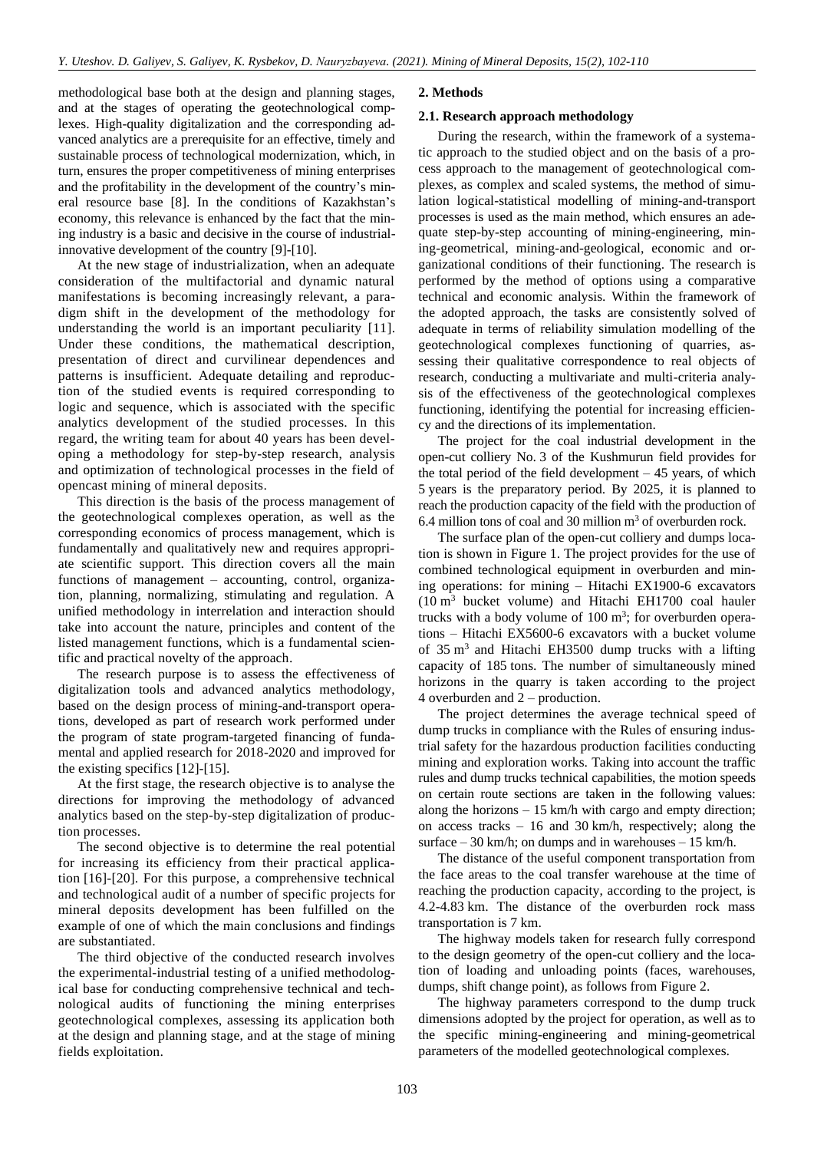methodological base both at the design and planning stages, and at the stages of operating the geotechnological complexes. High-quality digitalization and the corresponding advanced analytics are a prerequisite for an effective, timely and sustainable process of technological modernization, which, in turn, ensures the proper competitiveness of mining enterprises and the profitability in the development of the country's mineral resource base [\[8\].](#page-6-6) In the conditions of Kazakhstan's economy, this relevance is enhanced by the fact that the mining industry is a basic and decisive in the course of industrialinnovative development of the country [\[9\]-](#page-6-7)[\[10\].](#page-7-0)

At the new stage of industrialization, when an adequate consideration of the multifactorial and dynamic natural manifestations is becoming increasingly relevant, a paradigm shift in the development of the methodology for understanding the world is an important peculiarity [\[11\].](#page-7-1) Under these conditions, the mathematical description, presentation of direct and curvilinear dependences and patterns is insufficient. Adequate detailing and reproduction of the studied events is required corresponding to logic and sequence, which is associated with the specific analytics development of the studied processes. In this regard, the writing team for about 40 years has been developing a methodology for step-by-step research, analysis and optimization of technological processes in the field of opencast mining of mineral deposits.

This direction is the basis of the process management of the geotechnological complexes operation, as well as the corresponding economics of process management, which is fundamentally and qualitatively new and requires appropriate scientific support. This direction covers all the main functions of management – accounting, control, organization, planning, normalizing, stimulating and regulation. A unified methodology in interrelation and interaction should take into account the nature, principles and content of the listed management functions, which is a fundamental scientific and practical novelty of the approach.

The research purpose is to assess the effectiveness of digitalization tools and advanced analytics methodology, based on the design process of mining-and-transport operations, developed as part of research work performed under the program of state program-targeted financing of fundamental and applied research for 2018-2020 and improved for the existing specifics [\[12\]-](#page-7-2)[\[15\].](#page-7-3)

At the first stage, the research objective is to analyse the directions for improving the methodology of advanced analytics based on the step-by-step digitalization of production processes.

The second objective is to determine the real potential for increasing its efficiency from their practical application [\[16\]](#page-7-4)[-\[20\].](#page-7-5) For this purpose, a comprehensive technical and technological audit of a number of specific projects for mineral deposits development has been fulfilled on the example of one of which the main conclusions and findings are substantiated.

The third objective of the conducted research involves the experimental-industrial testing of a unified methodological base for conducting comprehensive technical and technological audits of functioning the mining enterprises geotechnological complexes, assessing its application both at the design and planning stage, and at the stage of mining fields exploitation.

## **2. Methods**

## **2.1. Research approach methodology**

During the research, within the framework of a systematic approach to the studied object and on the basis of a process approach to the management of geotechnological complexes, as complex and scaled systems, the method of simulation logical-statistical modelling of mining-and-transport processes is used as the main method, which ensures an adequate step-by-step accounting of mining-engineering, mining-geometrical, mining-and-geological, economic and organizational conditions of their functioning. The research is performed by the method of options using a comparative technical and economic analysis. Within the framework of the adopted approach, the tasks are consistently solved of adequate in terms of reliability simulation modelling of the geotechnological complexes functioning of quarries, assessing their qualitative correspondence to real objects of research, conducting a multivariate and multi-criteria analysis of the effectiveness of the geotechnological complexes functioning, identifying the potential for increasing efficiency and the directions of its implementation.

The project for the coal industrial development in the open-cut colliery No. 3 of the Kushmurun field provides for the total period of the field development  $-45$  years, of which 5 years is the preparatory period. By 2025, it is planned to reach the production capacity of the field with the production of 6.4 million tons of coal and 30 million  $m<sup>3</sup>$  of overburden rock.

The surface plan of the open-cut colliery and dumps location is shown in Figure 1. The project provides for the use of combined technological equipment in overburden and mining operations: for mining – Hitachi EX1900-6 excavators  $(10 \text{ m}^3)$  bucket volume) and Hitachi EH1700 coal hauler trucks with a body volume of  $100 \text{ m}^3$ ; for overburden operations – Hitachi EX5600-6 excavators with a bucket volume of  $35 \text{ m}^3$  and Hitachi EH3500 dump trucks with a lifting capacity of 185 tons. The number of simultaneously mined horizons in the quarry is taken according to the project 4 overburden and 2 – production.

The project determines the average technical speed of dump trucks in compliance with the Rules of ensuring industrial safety for the hazardous production facilities conducting mining and exploration works. Taking into account the traffic rules and dump trucks technical capabilities, the motion speeds on certain route sections are taken in the following values: along the horizons – 15 km/h with cargo and empty direction; on access tracks – 16 and 30 km/h, respectively; along the surface  $-30$  km/h; on dumps and in warehouses  $-15$  km/h.

The distance of the useful component transportation from the face areas to the coal transfer warehouse at the time of reaching the production capacity, according to the project, is 4.2-4.83 km. The distance of the overburden rock mass transportation is 7 km.

The highway models taken for research fully correspond to the design geometry of the open-cut colliery and the location of loading and unloading points (faces, warehouses, dumps, shift change point), as follows from Figure 2.

The highway parameters correspond to the dump truck dimensions adopted by the project for operation, as well as to the specific mining-engineering and mining-geometrical parameters of the modelled geotechnological complexes.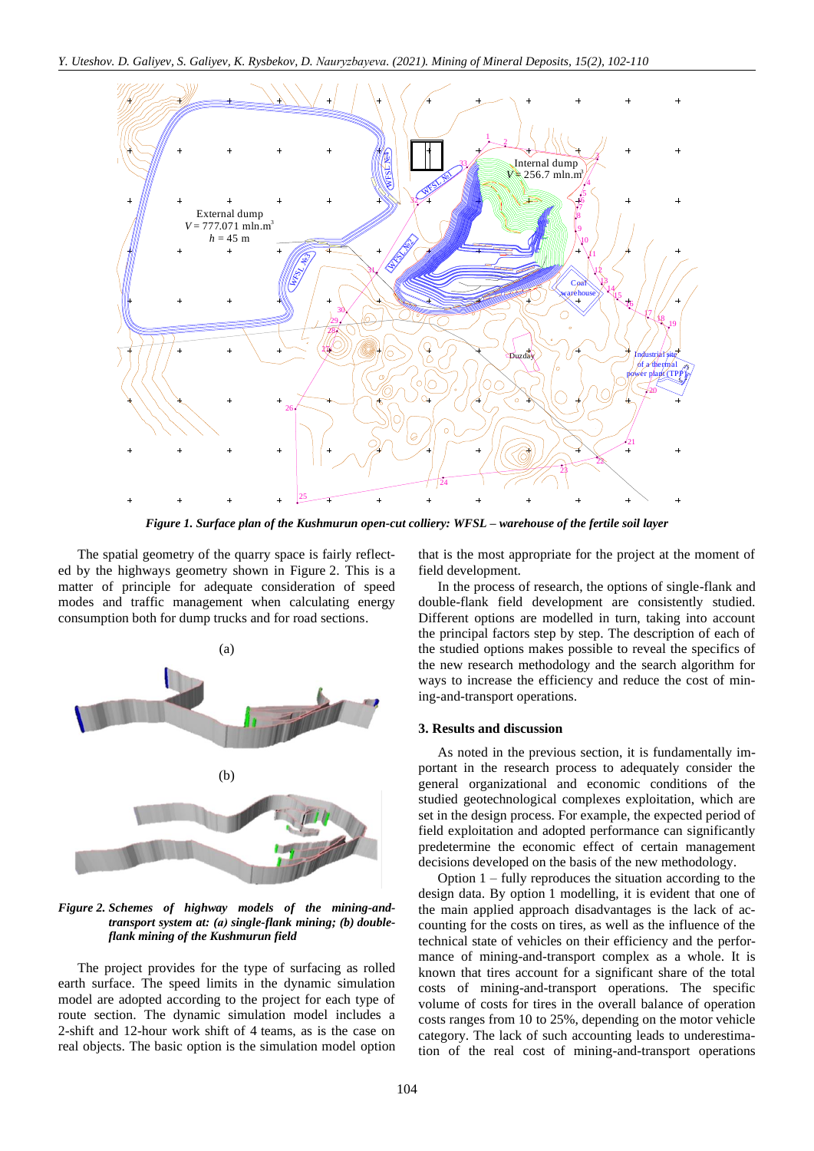

*Figure 1. Surface plan of the Kushmurun open-cut colliery: WFSL – warehouse of the fertile soil layer*

The spatial geometry of the quarry space is fairly reflected by the highways geometry shown in Figure 2. This is a matter of principle for adequate consideration of speed modes and traffic management when calculating energy consumption both for dump trucks and for road sections.



*Figure 2. Schemes of highway models of the mining-andtransport system at: (а) single-flank mining; (b) doubleflank mining of the Kushmurun field*

The project provides for the type of surfacing as rolled earth surface. The speed limits in the dynamic simulation model are adopted according to the project for each type of route section. The dynamic simulation model includes a 2-shift and 12-hour work shift of 4 teams, as is the case on real objects. The basic option is the simulation model option that is the most appropriate for the project at the moment of field development.

In the process of research, the options of single-flank and double-flank field development are consistently studied. Different options are modelled in turn, taking into account the principal factors step by step. The description of each of the studied options makes possible to reveal the specifics of the new research methodology and the search algorithm for ways to increase the efficiency and reduce the cost of mining-and-transport operations.

#### **3. Results and discussion**

As noted in the previous section, it is fundamentally important in the research process to adequately consider the general organizational and economic conditions of the studied geotechnological complexes exploitation, which are set in the design process. For example, the expected period of field exploitation and adopted performance can significantly predetermine the economic effect of certain management decisions developed on the basis of the new methodology.

Option 1 – fully reproduces the situation according to the design data. By option 1 modelling, it is evident that one of the main applied approach disadvantages is the lack of accounting for the costs on tires, as well as the influence of the technical state of vehicles on their efficiency and the performance of mining-and-transport complex as a whole. It is known that tires account for a significant share of the total costs of mining-and-transport operations. The specific volume of costs for tires in the overall balance of operation costs ranges from 10 to 25%, depending on the motor vehicle category. The lack of such accounting leads to underestimation of the real cost of mining-and-transport operations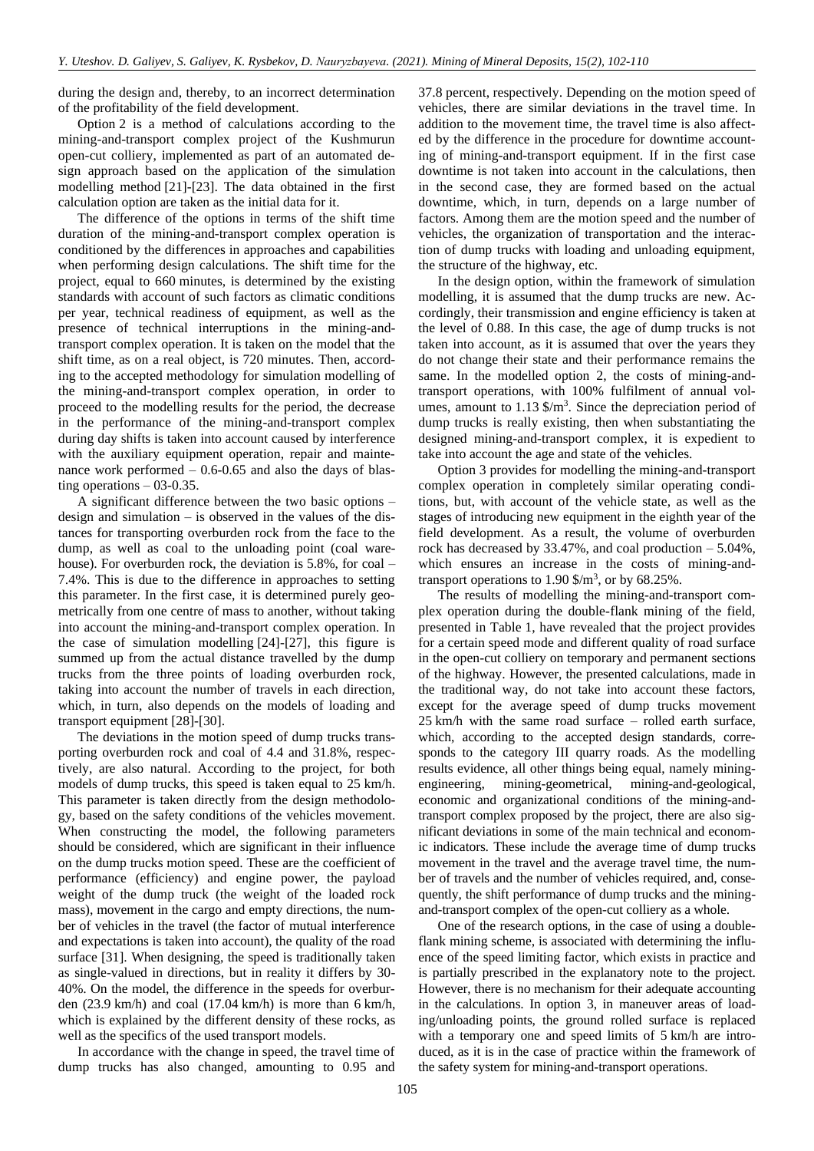during the design and, thereby, to an incorrect determination of the profitability of the field development.

Option 2 is a method of calculations according to the mining-and-transport complex project of the Kushmurun open-cut colliery, implemented as part of an automated design approach based on the application of the simulation modelling method [\[21\]](#page-7-6)[-\[23\].](#page-7-7) The data obtained in the first calculation option are taken as the initial data for it.

The difference of the options in terms of the shift time duration of the mining-and-transport complex operation is conditioned by the differences in approaches and capabilities when performing design calculations. The shift time for the project, equal to 660 minutes, is determined by the existing standards with account of such factors as climatic conditions per year, technical readiness of equipment, as well as the presence of technical interruptions in the mining-andtransport complex operation. It is taken on the model that the shift time, as on a real object, is 720 minutes. Then, according to the accepted methodology for simulation modelling of the mining-and-transport complex operation, in order to proceed to the modelling results for the period, the decrease in the performance of the mining-and-transport complex during day shifts is taken into account caused by interference with the auxiliary equipment operation, repair and maintenance work performed – 0.6-0.65 and also the days of blasting operations  $-03-0.35$ .

A significant difference between the two basic options – design and simulation – is observed in the values of the distances for transporting overburden rock from the face to the dump, as well as coal to the unloading point (coal warehouse). For overburden rock, the deviation is 5.8%, for coal – 7.4%. This is due to the difference in approaches to setting this parameter. In the first case, it is determined purely geometrically from one centre of mass to another, without taking into account the mining-and-transport complex operation. In the case of simulation modelling [\[24\]](#page-7-8)[-\[27\],](#page-7-9) this figure is summed up from the actual distance travelled by the dump trucks from the three points of loading overburden rock, taking into account the number of travels in each direction, which, in turn, also depends on the models of loading and transport equipment [\[28\]](#page-7-10)[-\[30\].](#page-7-11)

The deviations in the motion speed of dump trucks transporting overburden rock and coal of 4.4 and 31.8%, respectively, are also natural. According to the project, for both models of dump trucks, this speed is taken equal to 25 km/h. This parameter is taken directly from the design methodology, based on the safety conditions of the vehicles movement. When constructing the model, the following parameters should be considered, which are significant in their influence on the dump trucks motion speed. These are the coefficient of performance (efficiency) and engine power, the payload weight of the dump truck (the weight of the loaded rock mass), movement in the cargo and empty directions, the number of vehicles in the travel (the factor of mutual interference and expectations is taken into account), the quality of the road surface [\[31\].](#page-7-12) When designing, the speed is traditionally taken as single-valued in directions, but in reality it differs by 30- 40%. On the model, the difference in the speeds for overburden (23.9 km/h) and coal (17.04 km/h) is more than 6 km/h, which is explained by the different density of these rocks, as well as the specifics of the used transport models.

In accordance with the change in speed, the travel time of dump trucks has also changed, amounting to 0.95 and 37.8 percent, respectively. Depending on the motion speed of vehicles, there are similar deviations in the travel time. In addition to the movement time, the travel time is also affected by the difference in the procedure for downtime accounting of mining-and-transport equipment. If in the first case downtime is not taken into account in the calculations, then in the second case, they are formed based on the actual downtime, which, in turn, depends on a large number of factors. Among them are the motion speed and the number of vehicles, the organization of transportation and the interaction of dump trucks with loading and unloading equipment, the structure of the highway, etc.

In the design option, within the framework of simulation modelling, it is assumed that the dump trucks are new. Accordingly, their transmission and engine efficiency is taken at the level of 0.88. In this case, the age of dump trucks is not taken into account, as it is assumed that over the years they do not change their state and their performance remains the same. In the modelled option 2, the costs of mining-andtransport operations, with 100% fulfilment of annual volumes, amount to  $1.13 \text{ }\frac{\text{m}}{\text{s}}$ . Since the depreciation period of dump trucks is really existing, then when substantiating the designed mining-and-transport complex, it is expedient to take into account the age and state of the vehicles.

Option 3 provides for modelling the mining-and-transport complex operation in completely similar operating conditions, but, with account of the vehicle state, as well as the stages of introducing new equipment in the eighth year of the field development. As a result, the volume of overburden rock has decreased by  $33.47\%$ , and coal production  $-5.04\%$ . which ensures an increase in the costs of mining-andtransport operations to  $1.90 \text{ \$/m}^3$ , or by  $68.25\%$ .

The results of modelling the mining-and-transport complex operation during the double-flank mining of the field, presented in Table 1, have revealed that the project provides for a certain speed mode and different quality of road surface in the open-cut colliery on temporary and permanent sections of the highway. However, the presented calculations, made in the traditional way, do not take into account these factors, except for the average speed of dump trucks movement 25 km/h with the same road surface – rolled earth surface, which, according to the accepted design standards, corresponds to the category III quarry roads. As the modelling results evidence, all other things being equal, namely miningengineering, mining-geometrical, mining-and-geological, economic and organizational conditions of the mining-andtransport complex proposed by the project, there are also significant deviations in some of the main technical and economic indicators. These include the average time of dump trucks movement in the travel and the average travel time, the number of travels and the number of vehicles required, and, consequently, the shift performance of dump trucks and the miningand-transport complex of the open-cut colliery as a whole.

One of the research options, in the case of using a doubleflank mining scheme, is associated with determining the influence of the speed limiting factor, which exists in practice and is partially prescribed in the explanatory note to the project. However, there is no mechanism for their adequate accounting in the calculations. In option 3, in maneuver areas of loading/unloading points, the ground rolled surface is replaced with a temporary one and speed limits of 5 km/h are introduced, as it is in the case of practice within the framework of the safety system for mining-and-transport operations.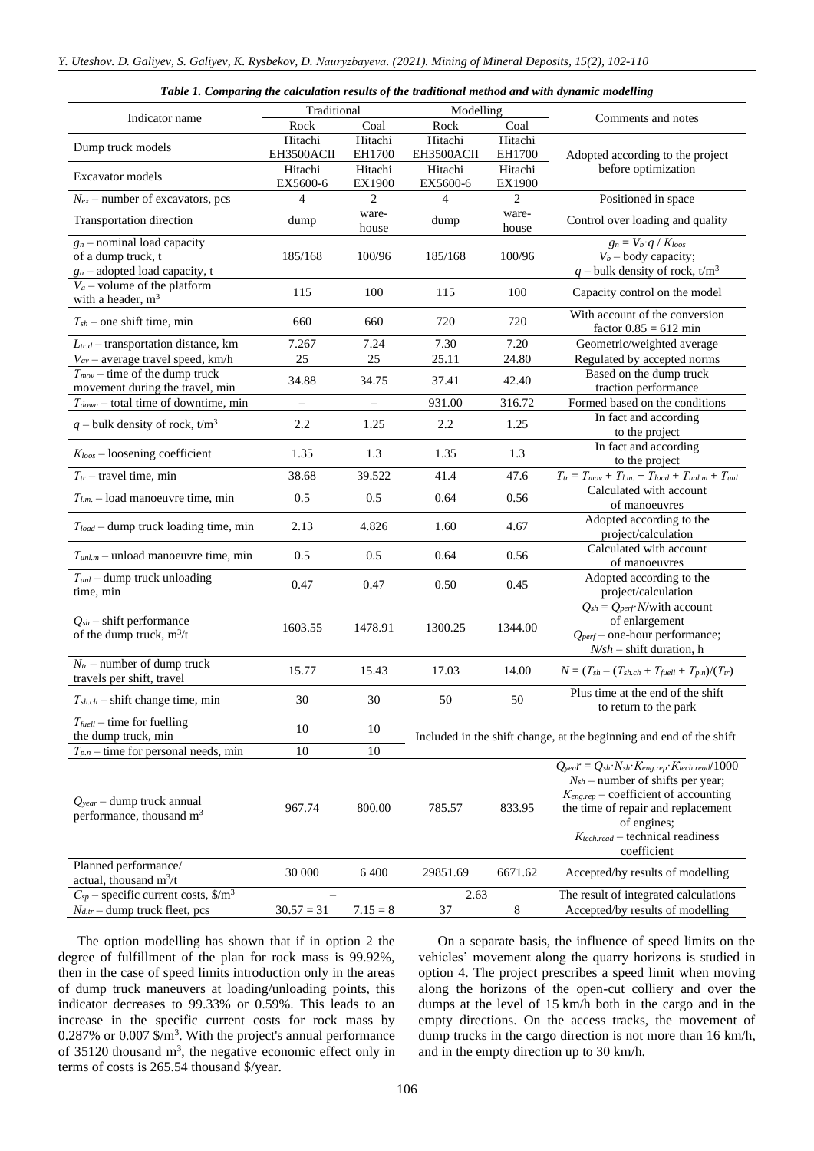| Table 1. Comparing the calculation results of the traditional method and with dynamic modelling |  |  |
|-------------------------------------------------------------------------------------------------|--|--|
|                                                                                                 |  |  |

|                                                                                        | Traditional<br>Modelling |                |            |                |                                                                                                                                                                                                                                                                                                                   |
|----------------------------------------------------------------------------------------|--------------------------|----------------|------------|----------------|-------------------------------------------------------------------------------------------------------------------------------------------------------------------------------------------------------------------------------------------------------------------------------------------------------------------|
| Indicator name                                                                         | Rock                     | Coal           | Rock       | Coal           | Comments and notes                                                                                                                                                                                                                                                                                                |
|                                                                                        | Hitachi                  | Hitachi        | Hitachi    | Hitachi        |                                                                                                                                                                                                                                                                                                                   |
| Dump truck models                                                                      | EH3500ACII               | EH1700         | EH3500ACII | EH1700         | Adopted according to the project                                                                                                                                                                                                                                                                                  |
|                                                                                        | Hitachi                  | Hitachi        | Hitachi    | Hitachi        | before optimization                                                                                                                                                                                                                                                                                               |
| Excavator models                                                                       | EX5600-6                 | EX1900         | EX5600-6   | EX1900         |                                                                                                                                                                                                                                                                                                                   |
| $N_{ex}$ – number of excavators, pcs                                                   | 4                        | $\overline{c}$ | 4          | $\overline{c}$ | Positioned in space                                                                                                                                                                                                                                                                                               |
| Transportation direction                                                               | dump                     | ware-<br>house | dump       | ware-<br>house | Control over loading and quality                                                                                                                                                                                                                                                                                  |
| $g_n$ – nominal load capacity<br>of a dump truck, t<br>$ga$ – adopted load capacity, t | 185/168                  | 100/96         | 185/168    | 100/96         | $g_n = V_b \cdot q / K_{loos}$<br>$V_b$ – body capacity;<br>q – bulk density of rock, $t/m^3$                                                                                                                                                                                                                     |
| $V_a$ – volume of the platform<br>with a header, $m3$                                  | 115                      | 100            | 115        | 100            | Capacity control on the model                                                                                                                                                                                                                                                                                     |
| $T_{sh}$ – one shift time, min                                                         | 660                      | 660            | 720        | 720            | With account of the conversion<br>factor $0.85 = 612$ min                                                                                                                                                                                                                                                         |
| $L_{tr.d}$ – transportation distance, km                                               | 7.267                    | 7.24           | 7.30       | 7.20           | Geometric/weighted average                                                                                                                                                                                                                                                                                        |
| $V_{av}$ – average travel speed, km/h                                                  | 25                       | 25             | 25.11      | 24.80          | Regulated by accepted norms                                                                                                                                                                                                                                                                                       |
| $T_{mov}$ – time of the dump truck                                                     | 34.88                    | 34.75          | 37.41      | 42.40          | Based on the dump truck                                                                                                                                                                                                                                                                                           |
| movement during the travel, min                                                        |                          |                |            |                | traction performance                                                                                                                                                                                                                                                                                              |
| $T_{down}$ – total time of downtime, min                                               |                          | $\equiv$       | 931.00     | 316.72         | Formed based on the conditions                                                                                                                                                                                                                                                                                    |
| $q$ – bulk density of rock, t/m <sup>3</sup>                                           | 2.2                      | 1.25           | 2.2        | 1.25           | In fact and according<br>to the project                                                                                                                                                                                                                                                                           |
| $K_{loos}$ – loosening coefficient                                                     | 1.35                     | 1.3            | 1.35       | 1.3            | In fact and according<br>to the project                                                                                                                                                                                                                                                                           |
| $T_{tr}$ – travel time, min                                                            | 38.68                    | 39.522         | 41.4       | 47.6           | $T_{tr} = T_{mov} + T_{l.m.} + T_{load} + T_{unl.m} + T_{unl}$                                                                                                                                                                                                                                                    |
| $T_{l.m.}$ – load manoeuvre time, min                                                  | 0.5                      | 0.5            | 0.64       | 0.56           | Calculated with account<br>of manoeuvres                                                                                                                                                                                                                                                                          |
| $T_{load}$ – dump truck loading time, min                                              | 2.13                     | 4.826          | 1.60       | 4.67           | Adopted according to the<br>project/calculation                                                                                                                                                                                                                                                                   |
| $T_{unl.m}$ – unload manoeuvre time, min                                               | 0.5                      | 0.5            | 0.64       | 0.56           | Calculated with account<br>of manoeuvres                                                                                                                                                                                                                                                                          |
| $T_{unl}$ – dump truck unloading<br>time, min                                          | 0.47                     | 0.47           | 0.50       | 0.45           | Adopted according to the<br>project/calculation                                                                                                                                                                                                                                                                   |
| $Q_{sh}$ – shift performance<br>of the dump truck, $m^3/t$                             | 1603.55                  | 1478.91        | 1300.25    | 1344.00        | $Q_{sh} = Q_{perf}$ N/with account<br>of enlargement<br>$Q_{\text{perf}}$ – one-hour performance;                                                                                                                                                                                                                 |
| $N_{tr}$ – number of dump truck<br>travels per shift, travel                           | 15.77                    | 15.43          | 17.03      | 14.00          | $N = (T_{sh} - (T_{sh.ch} + T_{fuel} + T_{p.n})/(T_{tr})$                                                                                                                                                                                                                                                         |
| $T_{sh.ch}$ – shift change time, min                                                   | 30                       | 30             | 50         | 50             | Plus time at the end of the shift<br>to return to the park                                                                                                                                                                                                                                                        |
| $T_{\text{fuel}}$ – time for fuelling<br>the dump truck, min                           | 10                       | 10             |            |                | Included in the shift change, at the beginning and end of the shift                                                                                                                                                                                                                                               |
| $T_{p,n}$ – time for personal needs, min                                               | 10                       | 10             |            |                |                                                                                                                                                                                                                                                                                                                   |
| $Q_{year}$ – dump truck annual<br>performance, thousand $m3$                           | 967.74                   | 800.00         | 785.57     | 833.95         | $Q_{\text{year}} = Q_{\text{sh}} \cdot N_{\text{sh}} \cdot K_{\text{eng.}rep} \cdot K_{\text{tech.}read}/1000$<br>$N_{sh}$ – number of shifts per year;<br>$K_{eng.rep}$ – coefficient of accounting<br>the time of repair and replacement<br>of engines;<br>$K_{tech.read}$ – technical readiness<br>coefficient |
| Planned performance/<br>actual, thousand $m^3/t$                                       | 30 000                   | 6 400          | 29851.69   | 6671.62        | Accepted/by results of modelling                                                                                                                                                                                                                                                                                  |
| $C_{sp}$ – specific current costs, \$/m <sup>3</sup>                                   |                          |                | 2.63       |                | The result of integrated calculations                                                                                                                                                                                                                                                                             |
| $N_{d,tr}$ – dump truck fleet, pcs                                                     | $30.57 = 31$             | $7.15 = 8$     | 37         | 8              | Accepted/by results of modelling                                                                                                                                                                                                                                                                                  |

The option modelling has shown that if in option 2 the degree of fulfillment of the plan for rock mass is 99.92%, then in the case of speed limits introduction only in the areas of dump truck maneuvers at loading/unloading points, this indicator decreases to 99.33% or 0.59%. This leads to an increase in the specific current costs for rock mass by  $0.287\%$  or  $0.007$  \$/m<sup>3</sup>. With the project's annual performance of 35120 thousand  $m<sup>3</sup>$ , the negative economic effect only in terms of costs is 265.54 thousand \$/year.

On a separate basis, the influence of speed limits on the vehicles' movement along the quarry horizons is studied in option 4. The project prescribes a speed limit when moving along the horizons of the open-cut colliery and over the dumps at the level of 15 km/h both in the cargo and in the empty directions. On the access tracks, the movement of dump trucks in the cargo direction is not more than 16 km/h, and in the empty direction up to 30 km/h.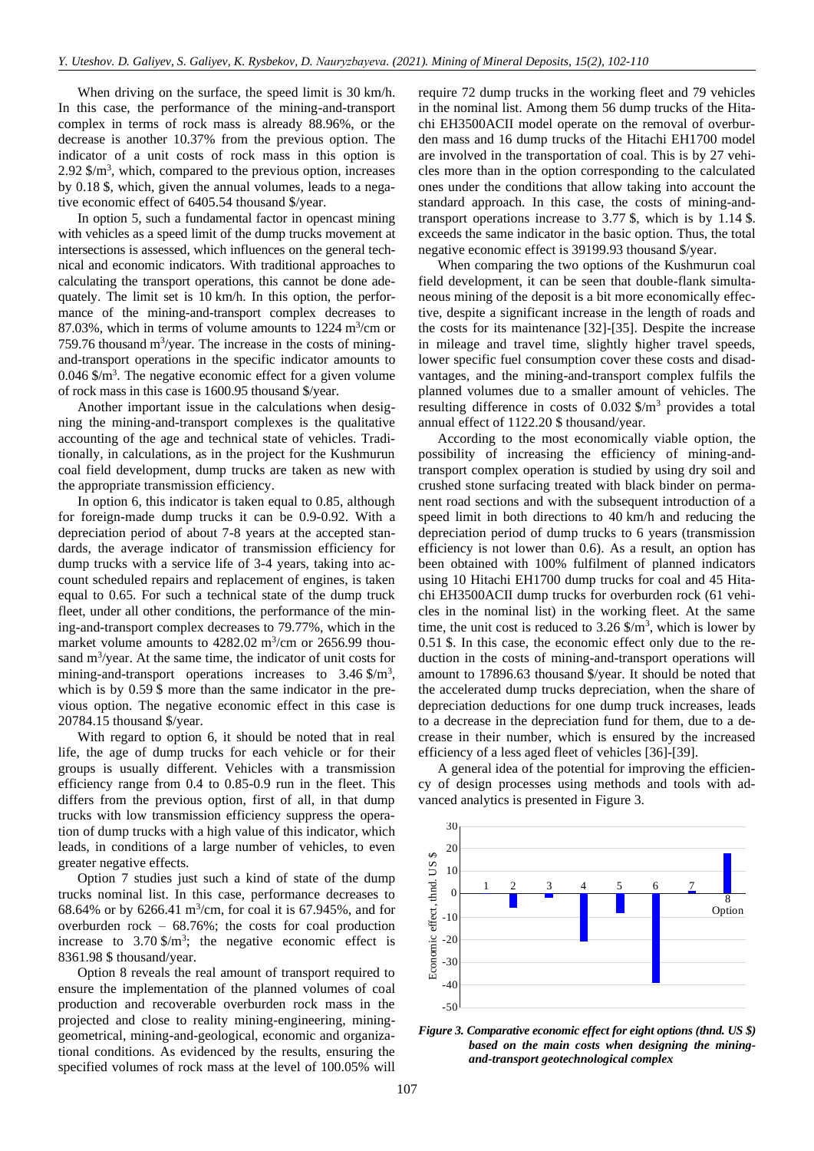When driving on the surface, the speed limit is 30 km/h. In this case, the performance of the mining-and-transport complex in terms of rock mass is already 88.96%, or the decrease is another 10.37% from the previous option. The indicator of a unit costs of rock mass in this option is 2.92  $\gamma$ <sup>3</sup>, which, compared to the previous option, increases by 0.18 \$, which, given the annual volumes, leads to a negative economic effect of 6405.54 thousand \$/year.

In option 5, such a fundamental factor in opencast mining with vehicles as a speed limit of the dump trucks movement at intersections is assessed, which influences on the general technical and economic indicators. With traditional approaches to calculating the transport operations, this cannot be done adequately. The limit set is 10 km/h. In this option, the performance of the mining-and-transport complex decreases to 87.03%, which in terms of volume amounts to  $1224 \text{ m}^3/\text{cm}$  or  $759.76$  thousand m<sup>3</sup>/year. The increase in the costs of miningand-transport operations in the specific indicator amounts to  $0.046$  \$/m<sup>3</sup>. The negative economic effect for a given volume of rock mass in this case is 1600.95 thousand \$/year.

Another important issue in the calculations when designing the mining-and-transport complexes is the qualitative accounting of the age and technical state of vehicles. Traditionally, in calculations, as in the project for the Kushmurun coal field development, dump trucks are taken as new with the appropriate transmission efficiency.

In option 6, this indicator is taken equal to 0.85, although for foreign-made dump trucks it can be 0.9-0.92. With a depreciation period of about 7-8 years at the accepted standards, the average indicator of transmission efficiency for dump trucks with a service life of 3-4 years, taking into account scheduled repairs and replacement of engines, is taken equal to 0.65. For such a technical state of the dump truck fleet, under all other conditions, the performance of the mining-and-transport complex decreases to 79.77%, which in the market volume amounts to  $4282.02 \text{ m}^3/\text{cm}$  or  $2656.99 \text{ thou-}$ sand m<sup>3</sup>/year. At the same time, the indicator of unit costs for mining-and-transport operations increases to 3.46 \$/m<sup>3</sup>, which is by  $0.59$  \$ more than the same indicator in the previous option. The negative economic effect in this case is 20784.15 thousand \$/year.

With regard to option 6, it should be noted that in real life, the age of dump trucks for each vehicle or for their groups is usually different. Vehicles with a transmission efficiency range from 0.4 to 0.85-0.9 run in the fleet. This differs from the previous option, first of all, in that dump trucks with low transmission efficiency suppress the operation of dump trucks with a high value of this indicator, which leads, in conditions of a large number of vehicles, to even greater negative effects.

Option 7 studies just such a kind of state of the dump trucks nominal list. In this case, performance decreases to 68.64% or by 6266.41  $\text{m}^3/\text{cm}$ , for coal it is 67.945%, and for overburden rock – 68.76%; the costs for coal production increase to  $3.70 \text{ m}^3$ ; the negative economic effect is 8361.98 \$ thousand/year.

Option 8 reveals the real amount of transport required to ensure the implementation of the planned volumes of coal production and recoverable overburden rock mass in the projected and close to reality mining-engineering, mininggeometrical, mining-and-geological, economic and organizational conditions. As evidenced by the results, ensuring the specified volumes of rock mass at the level of 100.05% will require 72 dump trucks in the working fleet and 79 vehicles in the nominal list. Among them 56 dump trucks of the Hitachi EH3500ACII model operate on the removal of overburden mass and 16 dump trucks of the Hitachi EH1700 model are involved in the transportation of coal. This is by 27 vehicles more than in the option corresponding to the calculated ones under the conditions that allow taking into account the standard approach. In this case, the costs of mining-andtransport operations increase to 3.77 \$, which is by 1.14 \$. exceeds the same indicator in the basic option. Thus, the total negative economic effect is 39199.93 thousand \$/year.

When comparing the two options of the Kushmurun coal field development, it can be seen that double-flank simultaneous mining of the deposit is a bit more economically effective, despite a significant increase in the length of roads and the costs for its maintenance [\[32\]](#page-7-13)[-\[35\].](#page-7-14) Despite the increase in mileage and travel time, slightly higher travel speeds, lower specific fuel consumption cover these costs and disadvantages, and the mining-and-transport complex fulfils the planned volumes due to a smaller amount of vehicles. The resulting difference in costs of  $0.032 \frac{1}{2}$  provides a total annual effect of 1122.20 \$ thousand/year.

According to the most economically viable option, the possibility of increasing the efficiency of mining-andtransport complex operation is studied by using dry soil and crushed stone surfacing treated with black binder on permanent road sections and with the subsequent introduction of a speed limit in both directions to 40 km/h and reducing the depreciation period of dump trucks to 6 years (transmission efficiency is not lower than 0.6). As a result, an option has been obtained with 100% fulfilment of planned indicators using 10 Hitachi EH1700 dump trucks for coal and 45 Hitachi EH3500ACII dump trucks for overburden rock (61 vehicles in the nominal list) in the working fleet. At the same time, the unit cost is reduced to  $3.26 \text{ m}^3$ , which is lower by 0.51 \$. In this case, the economic effect only due to the reduction in the costs of mining-and-transport operations will amount to 17896.63 thousand \$/year. It should be noted that the accelerated dump trucks depreciation, when the share of depreciation deductions for one dump truck increases, leads to a decrease in the depreciation fund for them, due to a decrease in their number, which is ensured by the increased efficiency of a less aged fleet of vehicles [\[36\]](#page-7-15)[-\[39\].](#page-7-16)

A general idea of the potential for improving the efficiency of design processes using methods and tools with advanced analytics is presented in Figure 3.



*Figure 3. Comparative economic effect for eight options (thnd. US \$) based on the main costs when designing the miningand-transport geotechnological complex*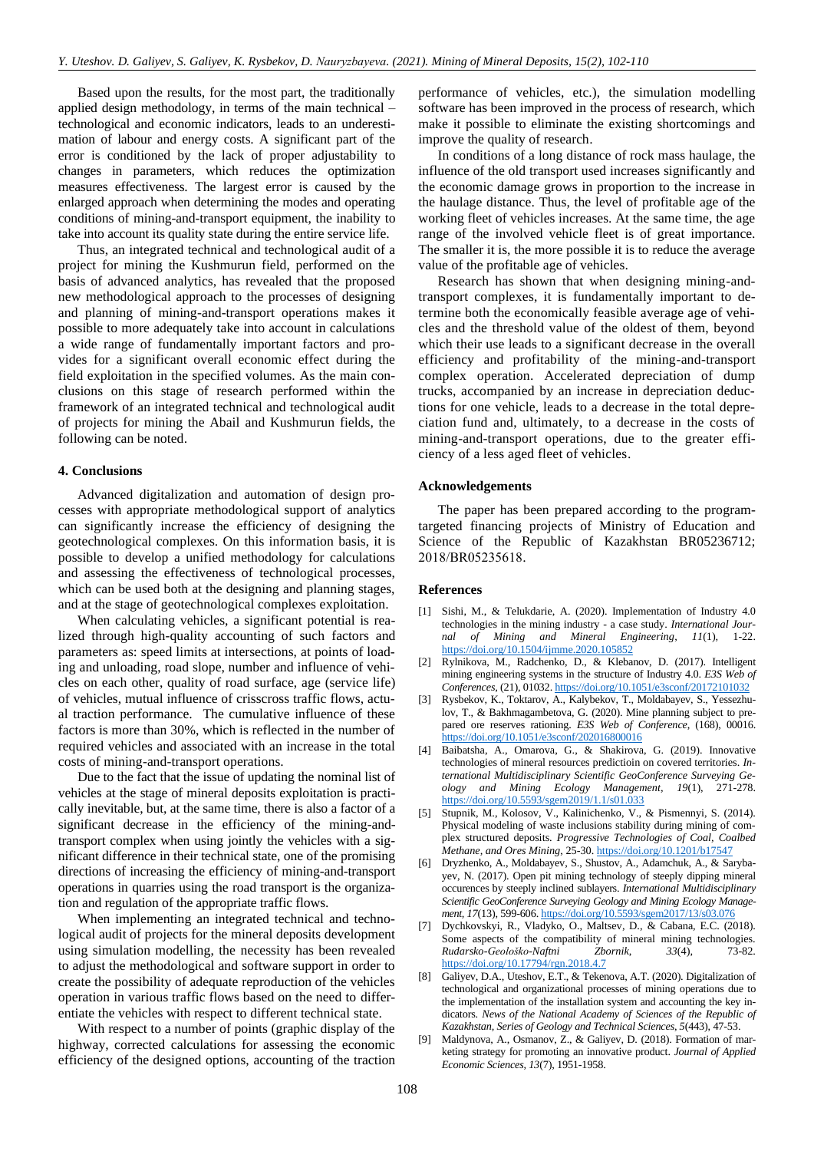Based upon the results, for the most part, the traditionally applied design methodology, in terms of the main technical – technological and economic indicators, leads to an underestimation of labour and energy costs. A significant part of the error is conditioned by the lack of proper adjustability to changes in parameters, which reduces the optimization measures effectiveness. The largest error is caused by the enlarged approach when determining the modes and operating conditions of mining-and-transport equipment, the inability to take into account its quality state during the entire service life.

Thus, an integrated technical and technological audit of a project for mining the Kushmurun field, performed on the basis of advanced analytics, has revealed that the proposed new methodological approach to the processes of designing and planning of mining-and-transport operations makes it possible to more adequately take into account in calculations a wide range of fundamentally important factors and provides for a significant overall economic effect during the field exploitation in the specified volumes. As the main conclusions on this stage of research performed within the framework of an integrated technical and technological audit of projects for mining the Abail and Kushmurun fields, the following can be noted.

#### **4. Conclusions**

Advanced digitalization and automation of design processes with appropriate methodological support of analytics can significantly increase the efficiency of designing the geotechnological complexes. On this information basis, it is possible to develop a unified methodology for calculations and assessing the effectiveness of technological processes, which can be used both at the designing and planning stages, and at the stage of geotechnological complexes exploitation.

When calculating vehicles, a significant potential is realized through high-quality accounting of such factors and parameters as: speed limits at intersections, at points of loading and unloading, road slope, number and influence of vehicles on each other, quality of road surface, age (service life) of vehicles, mutual influence of crisscross traffic flows, actual traction performance. The cumulative influence of these factors is more than 30%, which is reflected in the number of required vehicles and associated with an increase in the total costs of mining-and-transport operations.

Due to the fact that the issue of updating the nominal list of vehicles at the stage of mineral deposits exploitation is practically inevitable, but, at the same time, there is also a factor of a significant decrease in the efficiency of the mining-andtransport complex when using jointly the vehicles with a significant difference in their technical state, one of the promising directions of increasing the efficiency of mining-and-transport operations in quarries using the road transport is the organization and regulation of the appropriate traffic flows.

When implementing an integrated technical and technological audit of projects for the mineral deposits development using simulation modelling, the necessity has been revealed to adjust the methodological and software support in order to create the possibility of adequate reproduction of the vehicles operation in various traffic flows based on the need to differentiate the vehicles with respect to different technical state.

With respect to a number of points (graphic display of the highway, corrected calculations for assessing the economic efficiency of the designed options, accounting of the traction performance of vehicles, etc.), the simulation modelling software has been improved in the process of research, which make it possible to eliminate the existing shortcomings and improve the quality of research.

In conditions of a long distance of rock mass haulage, the influence of the old transport used increases significantly and the economic damage grows in proportion to the increase in the haulage distance. Thus, the level of profitable age of the working fleet of vehicles increases. At the same time, the age range of the involved vehicle fleet is of great importance. The smaller it is, the more possible it is to reduce the average value of the profitable age of vehicles.

Research has shown that when designing mining-andtransport complexes, it is fundamentally important to determine both the economically feasible average age of vehicles and the threshold value of the oldest of them, beyond which their use leads to a significant decrease in the overall efficiency and profitability of the mining-and-transport complex operation. Accelerated depreciation of dump trucks, accompanied by an increase in depreciation deductions for one vehicle, leads to a decrease in the total depreciation fund and, ultimately, to a decrease in the costs of mining-and-transport operations, due to the greater efficiency of a less aged fleet of vehicles.

## **Acknowledgements**

The paper has been prepared according to the programtargeted financing projects of Ministry of Education and Science of the Republic of Kazakhstan BR05236712; 2018/ВR05235618.

## **References**

- <span id="page-6-0"></span>[1] Sishi, M., & Telukdarie, A. (2020). Implementation of Industry 4.0 technologies in the mining industry - a case study. *International Journal of Mining and Mineral Engineering*, *11*(1), 1-22. <https://doi.org/10.1504/ijmme.2020.105852>
- <span id="page-6-1"></span>[2] Rylnikova, M., Radchenko, D., & Klebanov, D. (2017). Intelligent mining engineering systems in the structure of Industry 4.0. *E3S Web of Conferences*, (21), 01032. <https://doi.org/10.1051/e3sconf/20172101032>
- <span id="page-6-2"></span>[3] Rysbekov, K., Toktarov, A., Kalybekov, T., Moldabayev, S., Yessezhulov, T., & Bakhmagambetova, G. (2020). Mine planning subject to prepared ore reserves rationing. *E3S Web of Conference*, (168), 00016. <https://doi.org/10.1051/e3sconf/202016800016>
- <span id="page-6-3"></span>[4] Baibatsha, A., Omarova, G., & Shakirova, G. (2019). Innovative technologies of mineral resources predictioin on covered territories. *International Multidisciplinary Scientific GeoConference Surveying Geology and Mining Ecology Management, 19*(1), 271-278. <https://doi.org/10.5593/sgem2019/1.1/s01.033>
- <span id="page-6-4"></span>[5] Stupnik, M., Kolosov, V., Kalinichenko, V., & Pismennyi, S. (2014). Physical modeling of waste inclusions stability during mining of complex structured deposits. *Progressive Technologies of Coal, Coalbed Methane, and Ores Mining*, 25-30[. https://doi.org/10.1201/b17547](https://doi.org/10.1201/b17547)
- [6] Dryzhenko, A., Moldabayev, S., Shustov, A., Adamchuk, A., & Sarybayev, N. (2017). Open pit mining technology of steeply dipping mineral occurences by steeply inclined sublayers. *International Multidisciplinary Scientific GeoConference Surveying Geology and Mining Ecology Management, 17*(13), 599-606[. https://doi.org/10.5593/sgem2017/13/s03.076](https://doi.org/10.5593/sgem2017/13/s03.076)
- <span id="page-6-5"></span>[7] Dychkovskyi, R., Vladyko, O., Maltsev, D., & Cabana, E.C. (2018). Some aspects of the compatibility of mineral mining technologies. *Rudarsko-Geološko-Naftni Zbornik*, *33*(4), 73-82. <https://doi.org/10.17794/rgn.2018.4.7>
- <span id="page-6-6"></span>[8] Galiyev, D.A., Uteshov, E.T., & Tekenova, A.T. (2020). Digitalization of technological and organizational processes of mining operations due to the implementation of the installation system and accounting the key indicators. *News of the National Academy of Sciences of the Republic of Kazakhstan, Series of Geology and Technical Sciences*, *5*(443), 47-53.
- <span id="page-6-7"></span>[9] Maldynova, A., Osmanov, Z., & Galiyev, D. (2018). Formation of marketing strategy for promoting an innovative product. *Journal of Applied Economic Sciences*, *13*(7), 1951-1958.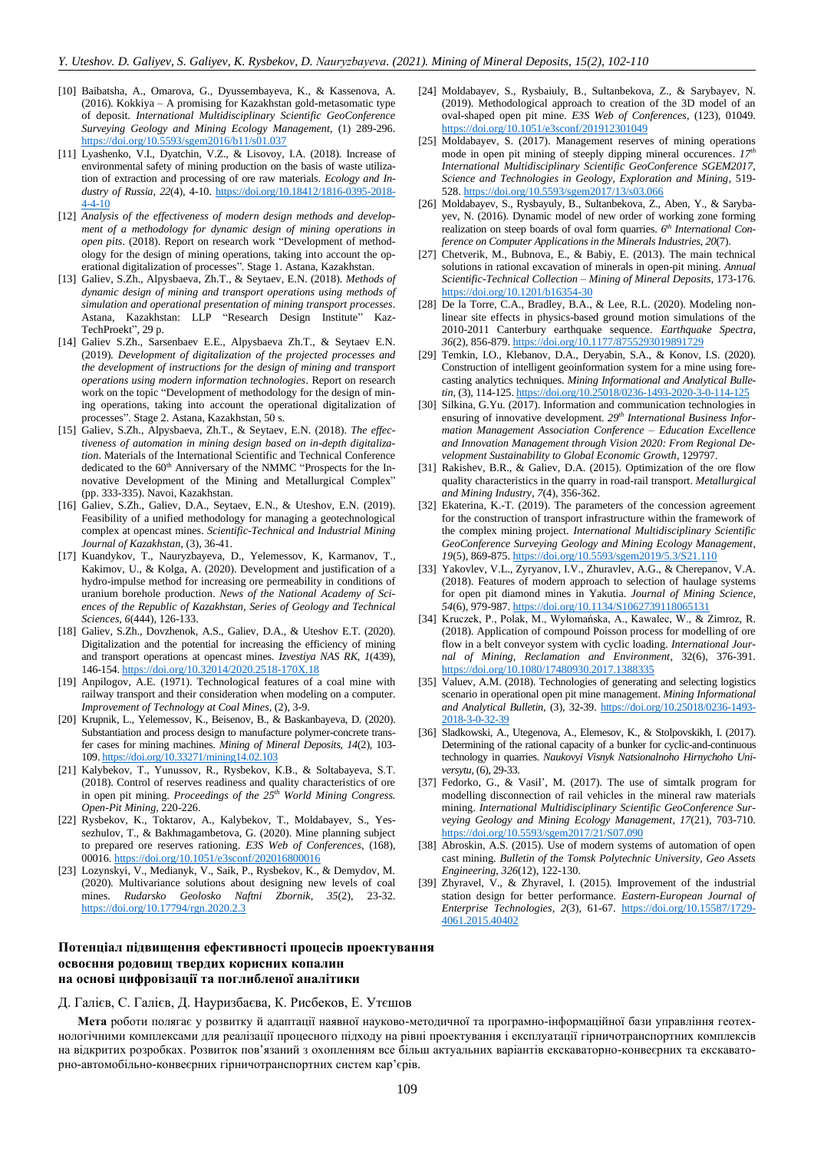- <span id="page-7-0"></span>[10] Baibatsha, A., Omarova, G., Dyussembayeva, K., & Kassenova, A. (2016). Kokkiya – A promising for Kazakhstan gold-metasomatic type of deposit. *International Multidisciplinary Scientific GeoConference Surveying Geology and Mining Ecology Management*, (1) 289-296. <https://doi.org/10.5593/sgem2016/b11/s01.037>
- <span id="page-7-1"></span>[11] Lyashenko, V.I., Dyatchin, V.Z., & Lisovoy, I.A. (2018). Increase of environmental safety of mining production on the basis of waste utilization of extraction and processing of ore raw materials. *Ecology and Industry of Russia*, *22*(4), 4-10. [https://doi.org/10.18412/1816-0395-2018-](https://doi.org/10.18412/1816-0395-2018-4-4-10) [4-4-10](https://doi.org/10.18412/1816-0395-2018-4-4-10)
- <span id="page-7-2"></span>[12] *Analysis of the effectiveness of modern design methods and development of a methodology for dynamic design of mining operations in open pits*. (2018). Report on research work "Development of methodology for the design of mining operations, taking into account the operational digitalization of processes". Stage 1. Astana, Kazakhstan.
- [13] Galiev, S.Zh., Alpysbaeva, Zh.T., & Seytaev, E.N. (2018). *Methods of dynamic design of mining and transport operations using methods of simulation and operational presentation of mining transport processes*. Astana, Kazakhstan: LLP "Research Design Institute" Kaz-TechProekt", 29 p.
- [14] Galiev S.Zh., Sarsenbaev E.E., Alpysbaeva Zh.T., & Seytaev E.N. (2019). *Development of digitalization of the projected processes and the development of instructions for the design of mining and transport operations using modern information technologies*. Report on research work on the topic "Development of methodology for the design of mining operations, taking into account the operational digitalization of processes". Stage 2. Astana, Kazakhstan, 50 s.
- <span id="page-7-3"></span>[15] Galiev, S.Zh., Alpysbaeva, Zh.T., & Seytaev, E.N. (2018). *The effectiveness of automation in mining design based on in-depth digitalization*. Materials of the International Scientific and Technical Conference dedicated to the 60<sup>th</sup> Anniversary of the NMMC "Prospects for the Innovative Development of the Mining and Metallurgical Complex" (pp. 333-335). Navoi, Kazakhstan.
- <span id="page-7-4"></span>[16] Galiev, S.Zh., Galiev, D.A., Seytaev, E.N., & Uteshov, E.N. (2019). Feasibility of a unified methodology for managing a geotechnological complex at opencast mines. *Scientific-Technical and Industrial Mining Journal of Kazakhstan*, (3), 36-41.
- [17] Kuandykov, T., Nauryzbayeva, D., Yelemessov, K, Karmanov, T., Kakimov, U., & Kolga, A. (2020). Development and justification of a hydro-impulse method for increasing ore permeability in conditions of uranium borehole production. *News of the National Academy of Sciences of the Republic of Kazakhstan, Series of Geology and Technical Sciences*, *6*(444), 126-133.
- [18] Galiev, S.Zh., Dovzhenok, A.S., Galiev, D.A., & Uteshov E.T. (2020). Digitalization and the potential for increasing the efficiency of mining and transport operations at opencast mines. *Izvestiya NAS RK*, *1*(439), 146-154. <https://doi.org/10.32014/2020.2518-170X.18>
- [19] Anpilogov, A.E. (1971). Technological features of a coal mine with railway transport and their consideration when modeling on a computer. *Improvement of Technology at Coal Mines*, (2), 3-9.
- <span id="page-7-5"></span>[20] Krupnik, L., Yelemessov, K., Beisenov, B., & Baskanbayeva, D. (2020). Substantiation and process design to manufacture polymer-concrete transfer cases for mining machines. *Mining of Mineral Deposits*, *14*(2), 103- 109[. https://doi.org/10.33271/mining14.02.103](https://doi.org/10.33271/mining14.02.103)
- <span id="page-7-6"></span>[21] Kalybekov, Т., Yunussov, R., Rysbekov, К.B., & Soltabayeva, S.Т. (2018). Control of reserves readiness and quality characteristics of ore in open pit mining. *Proceedings of the 25th World Mining Congress. Open-Pit Mining*, 220-226.
- [22] Rysbekov, K., Toktarov, A., Kalybekov, T., Moldabayev, S., Yessezhulov, T., & Bakhmagambetova, G. (2020). Mine planning subject to prepared ore reserves rationing. *E3S Web of Conferences*, (168), 00016[. https://doi.org/10.1051/e3sconf/202016800016](https://doi.org/10.1051/e3sconf/202016800016)
- <span id="page-7-7"></span>[23] Lozynskyi, V., Medianyk, V., Saik, P., Rysbekov, K., & Demydov, M. (2020). Multivariance solutions about designing new levels of coal mines. *Rudarsko Geolosko Naftni Zbornik*, *35*(2), 23-32. <https://doi.org/10.17794/rgn.2020.2.3>
- <span id="page-7-8"></span>[24] Moldabayev, S., Rysbaiuly, B., Sultanbekova, Z., & Sarybayev, N. (2019). Methodological approach to creation of the 3D model of an oval-shaped open pit mine. *E3S Web of Conferences*, (123), 01049. <https://doi.org/10.1051/e3sconf/201912301049>
- [25] Moldabayev, S. (2017). Management reserves of mining operations mode in open pit mining of steeply dipping mineral occurences.  $17<sup>t</sup>$ *International Multidisciplinary Scientific GeoConference SGEM2017, Science and Technologies in Geology, Exploration and Mining*, 519- 528. <https://doi.org/10.5593/sgem2017/13/s03.066>
- [26] Moldabayev, S., Rysbayuly, B., Sultanbekova, Z., Aben, Y., & Sarybayev, N. (2016). Dynamic model of new order of working zone forming realization on steep boards of oval form quarries.  $6<sup>th</sup> International Con$ *ference on Computer Applications in the Minerals Industries*, *20*(7).
- <span id="page-7-9"></span>[27] Chetverik, M., Bubnova, E., & Babiy, E. (2013). The main technical solutions in rational excavation of minerals in open-pit mining. *Annual Scientific-Technical Collection – Mining of Mineral Deposits*, 173-176. <https://doi.org/10.1201/b16354-30>
- <span id="page-7-10"></span>[28] De la Torre, C.A., Bradley, B.A., & Lee, R.L. (2020). Modeling nonlinear site effects in physics-based ground motion simulations of the 2010-2011 Canterbury earthquake sequence. *Earthquake Spectra*, *36*(2), 856-879[. https://doi.org/10.1177/8755293019891729](https://doi.org/10.1177/8755293019891729)
- [29] Temkin, I.O., Klebanov, D.A., Deryabin, S.A., & Konov, I.S. (2020). Construction of intelligent geoinformation system for a mine using forecasting analytics techniques. *Mining Informational and Analytical Bulletin*, (3), 114-125[. https://doi.org/10.25018/0236-1493-2020-3-0-114-125](https://doi.org/10.25018/0236-1493-2020-3-0-114-125)
- <span id="page-7-11"></span>[30] Silkina, G.Yu. (2017). Information and communication technologies in ensuring of innovative development. 29<sup>th</sup> International Business Infor*mation Management Association Conference – Education Excellence and Innovation Management through Vision 2020: From Regional Development Sustainability to Global Economic Growth*, 129797.
- <span id="page-7-12"></span>[31] Rakishev, B.R., & Galiev, D.A. (2015). Optimization of the ore flow quality characteristics in the quarry in road-rail transport. *Metallurgical and Mining Industry*, *7*(4), 356-362.
- <span id="page-7-13"></span>[32] Ekaterina, K.-T. (2019). The parameters of the concession agreement for the construction of transport infrastructure within the framework of the complex mining project. *International Multidisciplinary Scientific GeoConference Surveying Geology and Mining Ecology Management*, *19*(5), 869-875[. https://doi.org/10.5593/sgem2019/5.3/S21.110](https://doi.org/10.5593/sgem2019/5.3/S21.110)
- [33] Yakovlev, V.L., Zyryanov, I.V., Zhuravlev, A.G., & Cherepanov, V.A. (2018). Features of modern approach to selection of haulage systems for open pit diamond mines in Yakutia. *Journal of Mining Science*, *54*(6), 979-987[. https://doi.org/10.1134/S1062739118065131](https://doi.org/10.1134/S1062739118065131)
- [34] Kruczek, P., Polak, M., Wyłomańska, A., Kawalec, W., & Zimroz, R. (2018). Application of compound Poisson process for modelling of ore flow in a belt conveyor system with cyclic loading. *International Journal of Mining, Reclamation and Environment*, 32(6), 376-391. <https://doi.org/10.1080/17480930.2017.1388335>
- <span id="page-7-14"></span>[35] Valuev, A.M. (2018). Technologies of generating and selecting logistics scenario in operational open pit mine management. *Mining Informational and Analytical Bulletin*, (3), 32-39. [https://doi.org/10.25018/0236-1493-](https://doi.org/10.25018/0236-1493-2018-3-0-32-39) [2018-3-0-32-39](https://doi.org/10.25018/0236-1493-2018-3-0-32-39)
- <span id="page-7-15"></span>[36] Sladkowski, A., Utegenova, A., Elemesov, K., & Stolpovskikh, I. (2017). Determining of the rational capacity of a bunker for cyclic-and-continuous technology in quarries. *Naukovyi Visnyk Natsionalnoho Hirnychoho Universytu*, (6), 29-33.
- [37] Fedorko, G., & Vasil', M. (2017). The use of simtalk program for modelling disconnection of rail vehicles in the mineral raw materials mining. *International Multidisciplinary Scientific GeoConference Surveying Geology and Mining Ecology Management*, *17*(21), 703-710. <https://doi.org/10.5593/sgem2017/21/S07.090>
- [38] Abroskin, A.S. (2015). Use of modern systems of automation of open cast mining. *Bulletin of the Tomsk Polytechnic University, Geo Assets Engineering*, *326*(12), 122-130.
- <span id="page-7-16"></span>[39] Zhyravel, V., & Zhyravel, I. (2015). Improvement of the industrial station design for better performance. *Eastern-European Journal of Enterprise Technologies*, *2*(3), 61-67. [https://doi.org/10.15587/1729-](https://doi.org/10.15587/1729-4061.2015.40402) [4061.2015.40402](https://doi.org/10.15587/1729-4061.2015.40402)

## **Потенціал підвищення ефективності процесів проектування освоєння родовищ твердих корисних копалин на основі цифровізації та поглибленої аналітики**

Д. Галієв, С. Галієв, Д. Науризбаєва, К. Рисбеков, Е. Утєшов

**Мета** роботи полягає у розвитку й адаптації наявної науково-методичної та програмно-інформаційної бази управління геотехнологічними комплексами для реалізації процесного підходу на рівні проектування і експлуатації гірничотранспортних комплексів на відкритих розробках. Розвиток пов'язаний з охопленням все більш актуальних варіантів екскаваторно-конвеєрних та екскаваторно-автомобільно-конвеєрних гірничотранспортних систем кар'єрів.